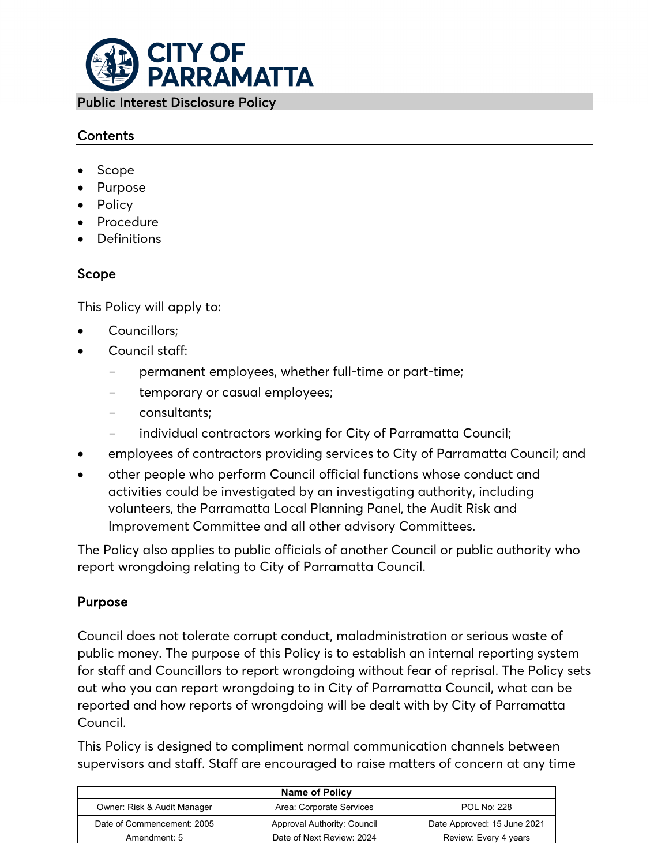

# Contents

- Scope
- **Purpose**
- Policy
- Procedure
- Definitions

# Scope

This Policy will apply to:

- Councillors;
- Council staff:
	- permanent employees, whether full-time or part-time;
	- temporary or casual employees;
	- consultants;
	- individual contractors working for City of Parramatta Council;
- employees of contractors providing services to City of Parramatta Council; and
- other people who perform Council official functions whose conduct and activities could be investigated by an investigating authority, including volunteers, the Parramatta Local Planning Panel, the Audit Risk and Improvement Committee and all other advisory Committees.

The Policy also applies to public officials of another Council or public authority who report wrongdoing relating to City of Parramatta Council.

# Purpose

Council does not tolerate corrupt conduct, maladministration or serious waste of public money. The purpose of this Policy is to establish an internal reporting system for staff and Councillors to report wrongdoing without fear of reprisal. The Policy sets out who you can report wrongdoing to in City of Parramatta Council, what can be reported and how reports of wrongdoing will be dealt with by City of Parramatta Council.

This Policy is designed to compliment normal communication channels between supervisors and staff. Staff are encouraged to raise matters of concern at any time

| <b>Name of Policy</b>       |                             |                             |
|-----------------------------|-----------------------------|-----------------------------|
| Owner: Risk & Audit Manager | Area: Corporate Services    | <b>POL No: 228</b>          |
| Date of Commencement: 2005  | Approval Authority: Council | Date Approved: 15 June 2021 |
| Amendment: 5                | Date of Next Review: 2024   | Review: Every 4 years       |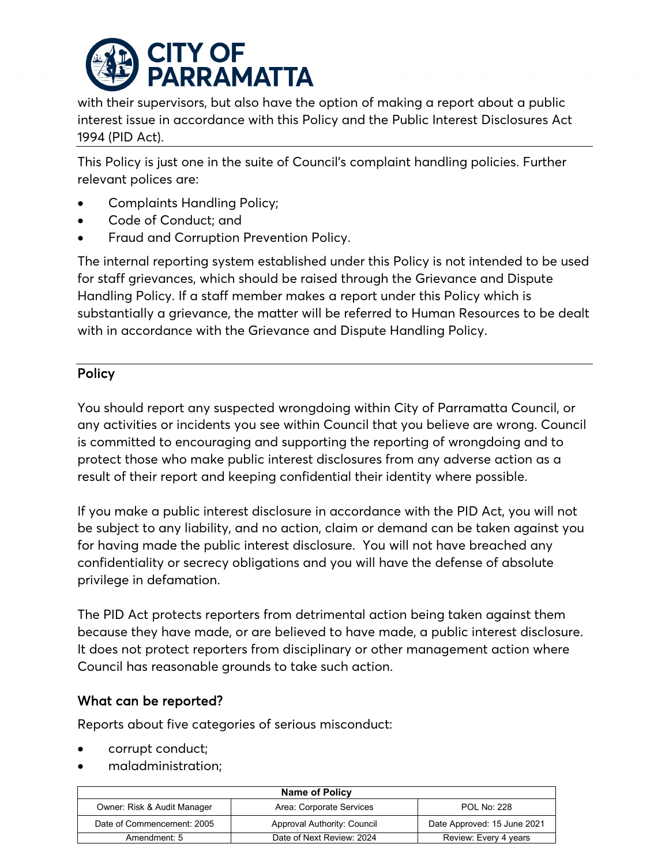

with their supervisors, but also have the option of making a report about a public interest issue in accordance with this Policy and the Public Interest Disclosures Act 1994 (PID Act).

This Policy is just one in the suite of Council's complaint handling policies. Further relevant polices are:

- [Complaints Handling Policy;](http://pcc-adm-icon01/eplanning/Common/Output/Document.aspx?id=lv1vxjNE7zk%253d)
- [Code of Conduct;](http://pcc-adm-icon01/eplanning/Common/Output/Document.aspx?id=7GGfUQFZw1I%253d) and
- [Fraud and Corruption Prevention Policy.](http://pcc-adm-icon01/eplanning/Common/Output/Document.aspx?id=0n96OOg62YU%253d)

The internal reporting system established under this Policy is not intended to be used for staff grievances, which should be raised through the [Grievance and Dispute](http://pcc-adm-icon01/ePlanning/Temp/001_005X_0I0N0OQBV3P.PDF)  [Handling Policy.](http://pcc-adm-icon01/ePlanning/Temp/001_005X_0I0N0OQBV3P.PDF) If a staff member makes a report under this Policy which is substantially a grievance, the matter will be referred to Human Resources to be dealt with in accordance with the Grievance and Dispute Handling Policy.

# **Policy**

You should report any suspected wrongdoing within City of Parramatta Council, or any activities or incidents you see within Council that you believe are wrong. Council is committed to encouraging and supporting the reporting of wrongdoing and to protect those who make public interest disclosures from any adverse action as a result of their report and keeping confidential their identity where possible.

If you make a public interest disclosure in accordance with the PID Act, you will not be subject to any liability, and no action, claim or demand can be taken against you for having made the public interest disclosure. You will not have breached any confidentiality or secrecy obligations and you will have the defense of absolute privilege in defamation.

The PID Act protects reporters from detrimental action being taken against them because they have made, or are believed to have made, a public interest disclosure. It does not protect reporters from disciplinary or other management action where Council has reasonable grounds to take such action.

# What can be reported?

Reports about five categories of serious misconduct:

- corrupt conduct;
- maladministration;

| <b>Name of Policy</b>       |                             |                             |
|-----------------------------|-----------------------------|-----------------------------|
| Owner: Risk & Audit Manager | Area: Corporate Services    | <b>POL No: 228</b>          |
| Date of Commencement: 2005  | Approval Authority: Council | Date Approved: 15 June 2021 |
| Amendment: 5                | Date of Next Review: 2024   | Review: Every 4 years       |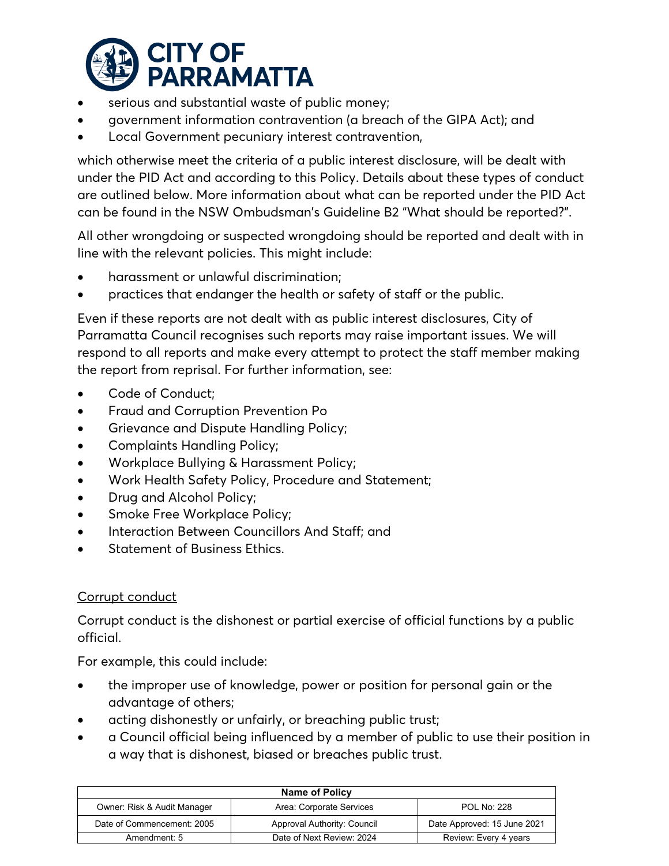

- serious and substantial waste of public money;
- government information contravention (a breach of the GIPA Act); and
- Local Government pecuniary interest contravention,

which otherwise meet the criteria of a public interest disclosure, will be dealt with under the PID Act and according to this Policy. Details about these types of conduct are outlined below. More information about what can be reported under the PID Act can be found in the [NSW Ombudsman's Guideline B2](https://www.ombo.nsw.gov.au/__data/assets/pdf_file/0005/3596/Guideline_B2_What-should-be-reported_web.pdf) "What should be reported?".

All other wrongdoing or suspected wrongdoing should be reported and dealt with in line with the relevant policies. This might include:

- harassment or unlawful discrimination;
- practices that endanger the health or safety of staff or the public.

Even if these reports are not dealt with as public interest disclosures, City of Parramatta Council recognises such reports may raise important issues. We will respond to all reports and make every attempt to protect the staff member making the report from reprisal. For further information, see:

- Code of Conduct;
- Fraud and Corruption Prevention Po
- [Grievance and Dispute Handling Policy;](http://pcc-adm-icon01/eplanning/Common/Output/Document.aspx?id=6szxYUouAqU%253d)
- Complaints Handling Policy;
- [Workplace Bullying & Harassment Policy;](http://pcc-adm-icon01/eplanning/Common/Output/Document.aspx?id=OYDk%252f0Tlf0g%253d)
- [Work Health Safety Policy, Procedure and Statement;](http://pcc-adm-icon01/eplanning/Common/Output/Document.aspx?id=f7dZGPvmmx0%253d)
- [Drug and Alcohol Policy;](http://pcc-adm-icon01/eplanning/Common/Output/Document.aspx?id=GJin9Bq6%252bmw%253d)
- Smoke [Free Workplace Policy;](http://pcc-adm-icon01/eplanning/Common/Output/Document.aspx?id=qT7PiCsDOUA%253d)
- [Interaction Between Councillors And Staff;](http://pcc-adm-icon01/eplanning/Common/Output/Document.aspx?id=KQYpPhVah%252fo%253d) and
- [Statement of Business Ethics.](http://pcc-adm-icon01/eplanning/Common/Output/Document.aspx?id=waMlManwHoE%253d)

# Corrupt conduct

Corrupt conduct is the dishonest or partial exercise of official functions by a public official.

For example, this could include:

- the improper use of knowledge, power or position for personal gain or the advantage of others;
- acting dishonestly or unfairly, or breaching public trust;
- a Council official being influenced by a member of public to use their position in a way that is dishonest, biased or breaches public trust.

| Name of Policy              |                             |                             |
|-----------------------------|-----------------------------|-----------------------------|
| Owner: Risk & Audit Manager | Area: Corporate Services    | <b>POL No: 228</b>          |
| Date of Commencement: 2005  | Approval Authority: Council | Date Approved: 15 June 2021 |
| Amendment: 5                | Date of Next Review: 2024   | Review: Every 4 years       |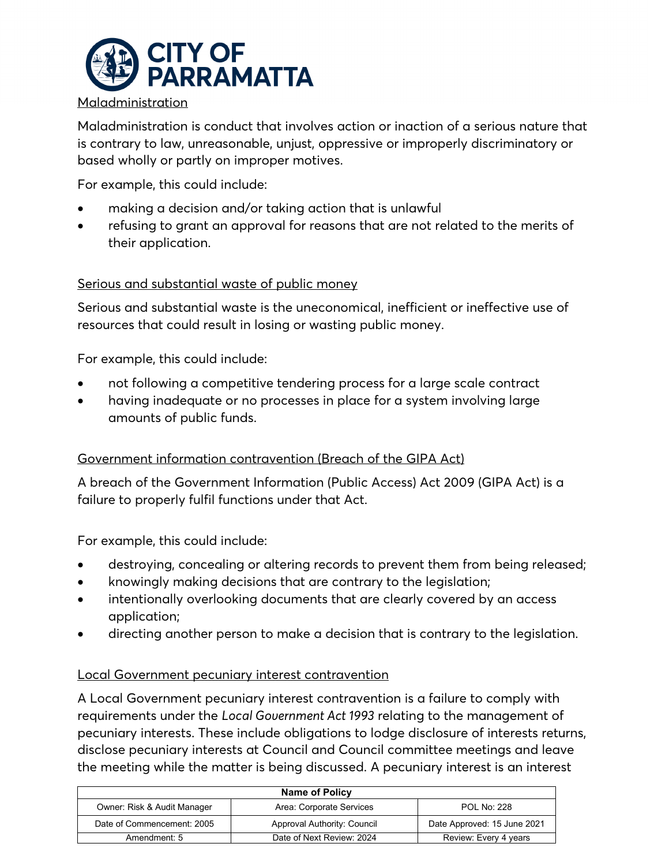

## Maladministration

Maladministration is conduct that involves action or inaction of a serious nature that is contrary to law, unreasonable, unjust, oppressive or improperly discriminatory or based wholly or partly on improper motives.

For example, this could include:

- making a decision and/or taking action that is unlawful
- refusing to grant an approval for reasons that are not related to the merits of their application.

# Serious and substantial waste of public money

Serious and substantial waste is the uneconomical, inefficient or ineffective use of resources that could result in losing or wasting public money.

For example, this could include:

- not following a competitive tendering process for a large scale contract
- having inadequate or no processes in place for a system involving large amounts of public funds.

# Government information contravention (Breach of the GIPA Act)

A breach of the Government Information (Public Access) Act 2009 (GIPA Act) is a failure to properly fulfil functions under that Act.

For example, this could include:

- destroying, concealing or altering records to prevent them from being released;
- knowingly making decisions that are contrary to the legislation;
- intentionally overlooking documents that are clearly covered by an access application;
- directing another person to make a decision that is contrary to the legislation.

# Local Government pecuniary interest contravention

A Local Government pecuniary interest contravention is a failure to comply with requirements under the *Local Government Act 1993* relating to the management of pecuniary interests. These include obligations to lodge disclosure of interests returns, disclose pecuniary interests at Council and Council committee meetings and leave the meeting while the matter is being discussed. A pecuniary interest is an interest

| <b>Name of Policy</b>       |                             |                             |
|-----------------------------|-----------------------------|-----------------------------|
| Owner: Risk & Audit Manager | Area: Corporate Services    | <b>POL No: 228</b>          |
| Date of Commencement: 2005  | Approval Authority: Council | Date Approved: 15 June 2021 |
| Amendment: 5                | Date of Next Review: 2024   | Review: Every 4 years       |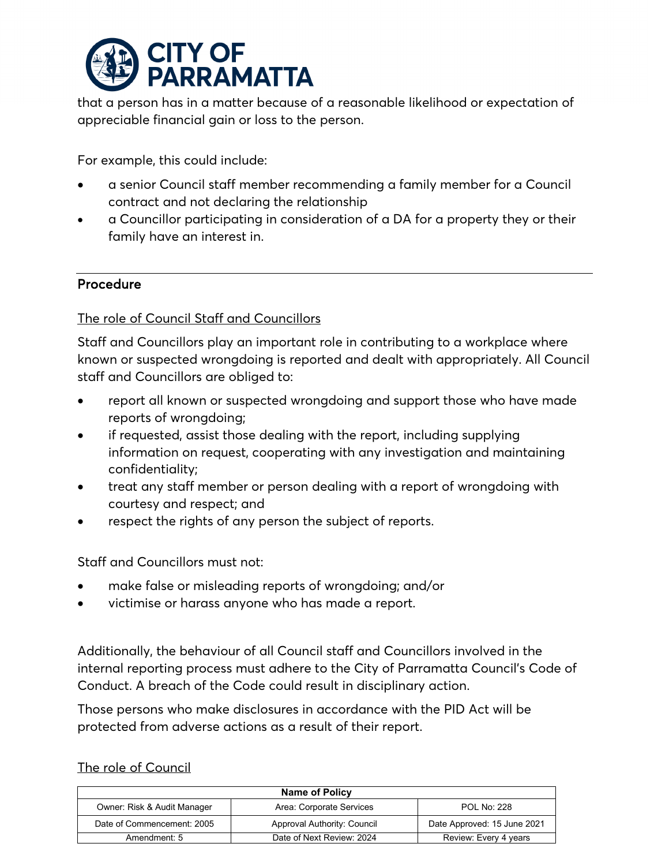

that a person has in a matter because of a reasonable likelihood or expectation of appreciable financial gain or loss to the person.

For example, this could include:

- a senior Council staff member recommending a family member for a Council contract and not declaring the relationship
- a Councillor participating in consideration of a DA for a property they or their family have an interest in.

## Procedure

## The role of Council Staff and Councillors

Staff and Councillors play an important role in contributing to a workplace where known or suspected wrongdoing is reported and dealt with appropriately. All Council staff and Councillors are obliged to:

- report all known or suspected wrongdoing and support those who have made reports of wrongdoing;
- if requested, assist those dealing with the report, including supplying information on request, cooperating with any investigation and maintaining confidentiality;
- treat any staff member or person dealing with a report of wrongdoing with courtesy and respect; and
- respect the rights of any person the subject of reports.

Staff and Councillors must not:

- make false or misleading reports of wrongdoing; and/or
- victimise or harass anyone who has made a report.

Additionally, the behaviour of all Council staff and Councillors involved in the internal reporting process must adhere to the City of Parramatta Council's Code of Conduct. A breach of the Code could result in disciplinary action.

Those persons who make disclosures in accordance with the PID Act will be protected from adverse actions as a result of their report.

#### The role of Council

| <b>Name of Policy</b>       |                             |                             |
|-----------------------------|-----------------------------|-----------------------------|
| Owner: Risk & Audit Manager | Area: Corporate Services    | <b>POL No: 228</b>          |
| Date of Commencement: 2005  | Approval Authority: Council | Date Approved: 15 June 2021 |
| Amendment: 5                | Date of Next Review: 2024   | Review: Every 4 years       |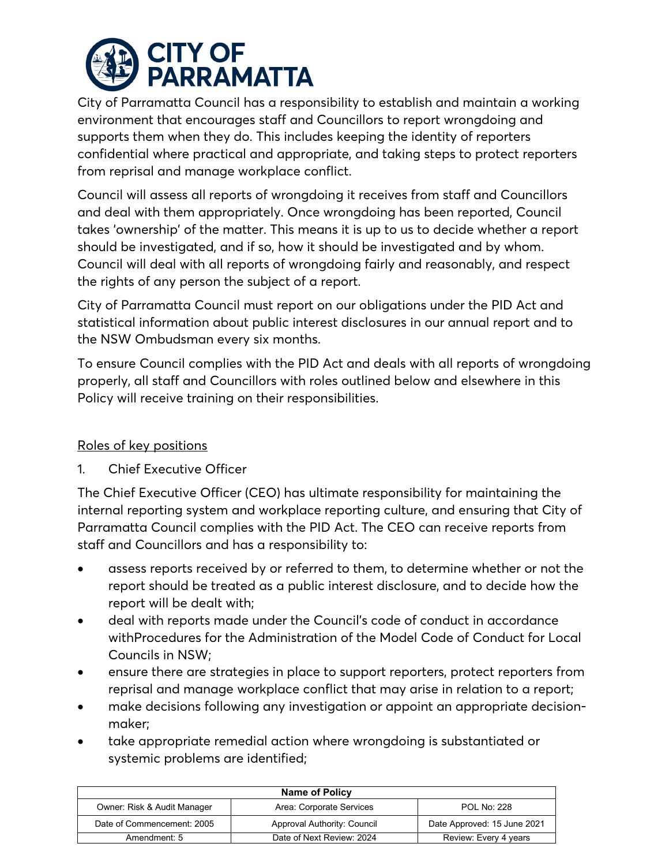

City of Parramatta Council has a responsibility to establish and maintain a working environment that encourages staff and Councillors to report wrongdoing and supports them when they do. This includes keeping the identity of reporters confidential where practical and appropriate, and taking steps to protect reporters from reprisal and manage workplace conflict.

Council will assess all reports of wrongdoing it receives from staff and Councillors and deal with them appropriately. Once wrongdoing has been reported, Council takes 'ownership' of the matter. This means it is up to us to decide whether a report should be investigated, and if so, how it should be investigated and by whom. Council will deal with all reports of wrongdoing fairly and reasonably, and respect the rights of any person the subject of a report.

City of Parramatta Council must report on our obligations under the PID Act and statistical information about public interest disclosures in our annual report and to the NSW Ombudsman every six months.

To ensure Council complies with the PID Act and deals with all reports of wrongdoing properly, all staff and Councillors with roles outlined below and elsewhere in this Policy will receive training on their responsibilities.

# Roles of key positions

1. Chief Executive Officer

The Chief Executive Officer (CEO) has ultimate responsibility for maintaining the internal reporting system and workplace reporting culture, and ensuring that City of Parramatta Council complies with the PID Act. The CEO can receive reports from staff and Councillors and has a responsibility to:

- assess reports received by or referred to them, to determine whether or not the report should be treated as a public interest disclosure, and to decide how the report will be dealt with;
- deal with reports made under the Council's code of conduct in accordance withProcedures for the Administration of the Model Code of Conduct for Local Councils in NSW;
- ensure there are strategies in place to support reporters, protect reporters from reprisal and manage workplace conflict that may arise in relation to a report;
- make decisions following any investigation or appoint an appropriate decisionmaker;
- take appropriate remedial action where wrongdoing is substantiated or systemic problems are identified;

| <b>Name of Policy</b>       |                             |                             |
|-----------------------------|-----------------------------|-----------------------------|
| Owner: Risk & Audit Manager | Area: Corporate Services    | <b>POL No: 228</b>          |
| Date of Commencement: 2005  | Approval Authority: Council | Date Approved: 15 June 2021 |
| Amendment: 5                | Date of Next Review: 2024   | Review: Every 4 years       |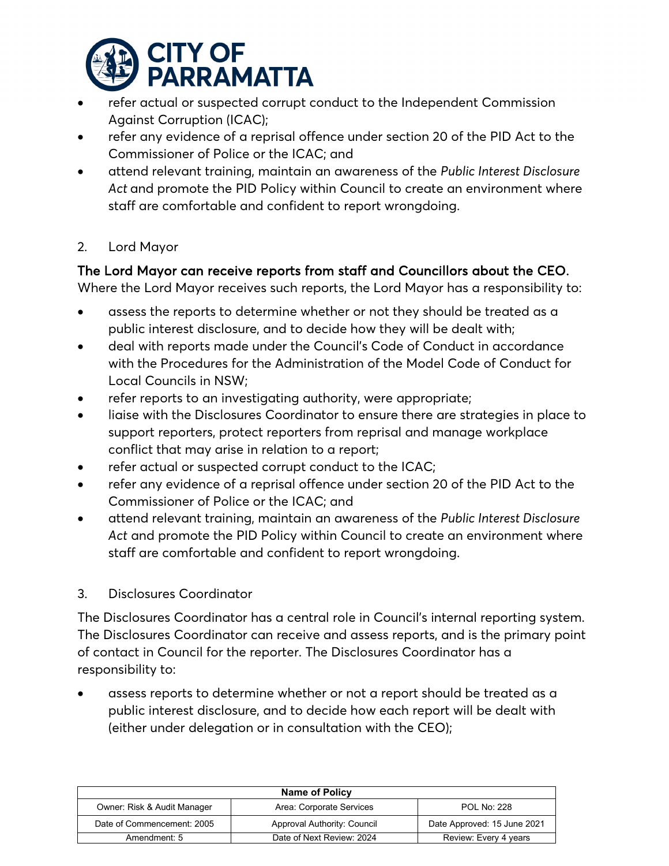

- refer actual or suspected corrupt conduct to the Independent Commission Against Corruption (ICAC);
- refer any evidence of a reprisal offence under section 20 of the PID Act to the Commissioner of Police or the ICAC; and
- attend relevant training, maintain an awareness of the *Public Interest Disclosure*  Act and promote the PID Policy within Council to create an environment where staff are comfortable and confident to report wrongdoing.
- 2. Lord Mayor

# The Lord Mayor can receive reports from staff and Councillors about the CEO.

Where the Lord Mayor receives such reports, the Lord Mayor has a responsibility to:

- assess the reports to determine whether or not they should be treated as a public interest disclosure, and to decide how they will be dealt with;
- deal with reports made under the Council's Code of Conduct in accordance with the Procedures for the Administration of the Model Code of Conduct for Local Councils in NSW;
- refer reports to an investigating authority, were appropriate;
- liaise with the Disclosures Coordinator to ensure there are strategies in place to support reporters, protect reporters from reprisal and manage workplace conflict that may arise in relation to a report;
- refer actual or suspected corrupt conduct to the ICAC;
- refer any evidence of a reprisal offence under section 20 of the PID Act to the Commissioner of Police or the ICAC; and
- attend relevant training, maintain an awareness of the *Public Interest Disclosure Act* and promote the PID Policy within Council to create an environment where staff are comfortable and confident to report wrongdoing.
- 3. Disclosures Coordinator

The Disclosures Coordinator has a central role in Council's internal reporting system. The Disclosures Coordinator can receive and assess reports, and is the primary point of contact in Council for the reporter. The Disclosures Coordinator has a responsibility to:

• assess reports to determine whether or not a report should be treated as a public interest disclosure, and to decide how each report will be dealt with (either under delegation or in consultation with the CEO);

| <b>Name of Policy</b>       |                             |                             |
|-----------------------------|-----------------------------|-----------------------------|
| Owner: Risk & Audit Manager | Area: Corporate Services    | <b>POL No: 228</b>          |
| Date of Commencement: 2005  | Approval Authority: Council | Date Approved: 15 June 2021 |
| Amendment: 5                | Date of Next Review: 2024   | Review: Every 4 years       |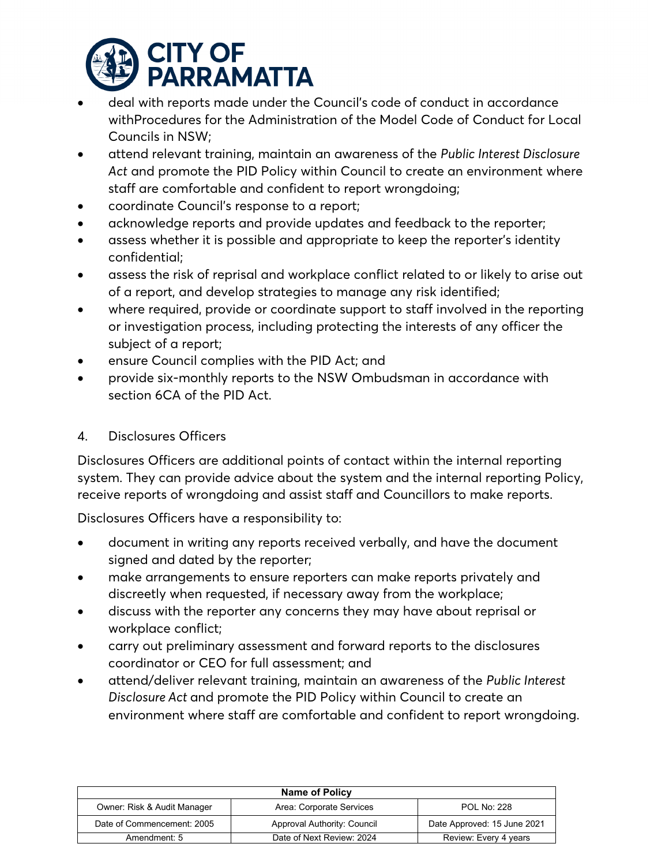

- deal with reports made under the Council's code of conduct in accordance withProcedures for the Administration of the Model Code of Conduct for Local Councils in NSW;
- attend relevant training, maintain an awareness of the *Public Interest Disclosure Act* and promote the PID Policy within Council to create an environment where staff are comfortable and confident to report wrongdoing;
- coordinate Council's response to a report;
- acknowledge reports and provide updates and feedback to the reporter;
- assess whether it is possible and appropriate to keep the reporter's identity confidential;
- assess the risk of reprisal and workplace conflict related to or likely to arise out of a report, and develop strategies to manage any risk identified;
- where required, provide or coordinate support to staff involved in the reporting or investigation process, including protecting the interests of any officer the subject of a report;
- ensure Council complies with the PID Act; and
- provide six-monthly reports to the NSW Ombudsman in accordance with section 6CA of the PID Act.

# 4. Disclosures Officers

Disclosures Officers are additional points of contact within the internal reporting system. They can provide advice about the system and the internal reporting Policy, receive reports of wrongdoing and assist staff and Councillors to make reports.

Disclosures Officers have a responsibility to:

- document in writing any reports received verbally, and have the document signed and dated by the reporter;
- make arrangements to ensure reporters can make reports privately and discreetly when requested, if necessary away from the workplace;
- discuss with the reporter any concerns they may have about reprisal or workplace conflict;
- carry out preliminary assessment and forward reports to the disclosures coordinator or CEO for full assessment; and
- attend/deliver relevant training, maintain an awareness of the *Public Interest Disclosure Act* and promote the PID Policy within Council to create an environment where staff are comfortable and confident to report wrongdoing.

| Name of Policy              |                             |                             |
|-----------------------------|-----------------------------|-----------------------------|
| Owner: Risk & Audit Manager | Area: Corporate Services    | <b>POL No: 228</b>          |
| Date of Commencement: 2005  | Approval Authority: Council | Date Approved: 15 June 2021 |
| Amendment: 5                | Date of Next Review: 2024   | Review: Every 4 years       |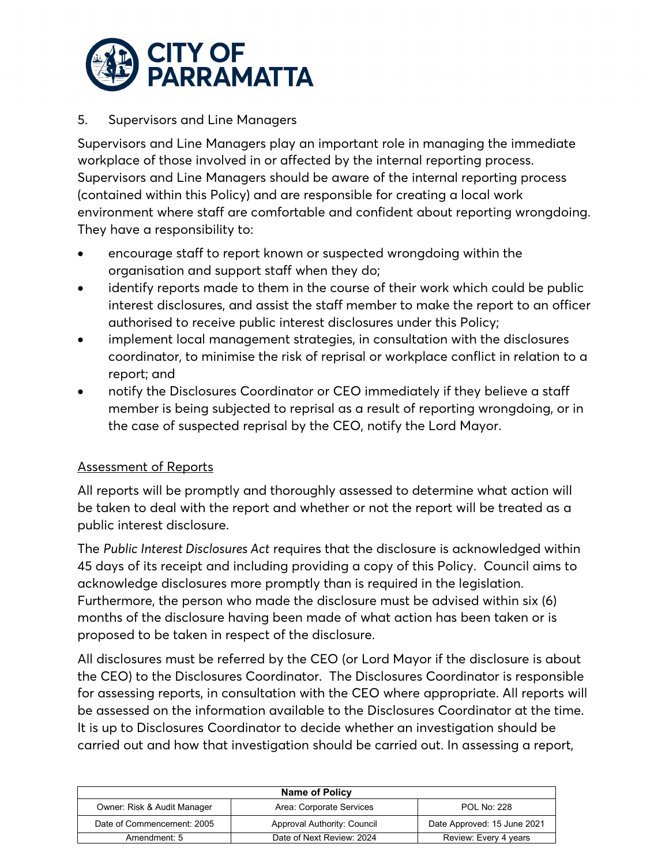

## 5. Supervisors and Line Managers

Supervisors and Line Managers play an important role in managing the immediate workplace of those involved in or affected by the internal reporting process. Supervisors and Line Managers should be aware of the internal reporting process (contained within this Policy) and are responsible for creating a local work environment where staff are comfortable and confident about reporting wrongdoing. They have a responsibility to:

- encourage staff to report known or suspected wrongdoing within the organisation and support staff when they do;
- identify reports made to them in the course of their work which could be public interest disclosures, and assist the staff member to make the report to an officer authorised to receive public interest disclosures under this Policy;
- implement local management strategies, in consultation with the disclosures coordinator, to minimise the risk of reprisal or workplace conflict in relation to a report; and
- notify the Disclosures Coordinator or CEO immediately if they believe a staff member is being subjected to reprisal as a result of reporting wrongdoing, or in the case of suspected reprisal by the CEO, notify the Lord Mayor.

#### Assessment of Reports

All reports will be promptly and thoroughly assessed to determine what action will be taken to deal with the report and whether or not the report will be treated as a public interest disclosure.

The *Public Interest Disclosures Act* requires that the disclosure is acknowledged within 45 days of its receipt and including providing a copy of this Policy. Council aims to acknowledge disclosures more promptly than is required in the legislation. Furthermore, the person who made the disclosure must be advised within six (6) months of the disclosure having been made of what action has been taken or is proposed to be taken in respect of the disclosure.

All disclosures must be referred by the CEO (or Lord Mayor if the disclosure is about the CEO) to the Disclosures Coordinator. The Disclosures Coordinator is responsible for assessing reports, in consultation with the CEO where appropriate. All reports will be assessed on the information available to the Disclosures Coordinator at the time. It is up to Disclosures Coordinator to decide whether an investigation should be carried out and how that investigation should be carried out. In assessing a report,

| <b>Name of Policy</b>       |                             |                             |
|-----------------------------|-----------------------------|-----------------------------|
| Owner: Risk & Audit Manager | Area: Corporate Services    | <b>POL No: 228</b>          |
| Date of Commencement: 2005  | Approval Authority: Council | Date Approved: 15 June 2021 |
| Amendment: 5                | Date of Next Review: 2024   | Review: Every 4 years       |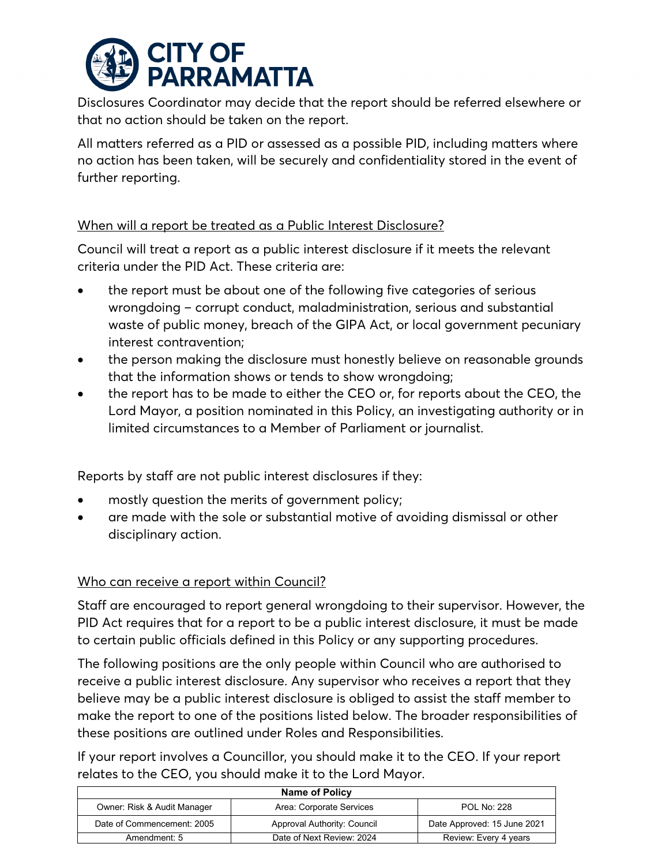

Disclosures Coordinator may decide that the report should be referred elsewhere or that no action should be taken on the report.

All matters referred as a PID or assessed as a possible PID, including matters where no action has been taken, will be securely and confidentiality stored in the event of further reporting.

# When will a report be treated as a Public Interest Disclosure?

Council will treat a report as a public interest disclosure if it meets the relevant criteria under the PID Act. These criteria are:

- the report must be about one of the following five categories of serious wrongdoing – corrupt conduct, maladministration, serious and substantial waste of public money, breach of the GIPA Act, or local government pecuniary interest contravention;
- the person making the disclosure must honestly believe on reasonable grounds that the information shows or tends to show wrongdoing;
- the report has to be made to either the CEO or, for reports about the CEO, the Lord Mayor, a position nominated in this Policy, an investigating authority or in limited circumstances to a Member of Parliament or journalist.

Reports by staff are not public interest disclosures if they:

- mostly question the merits of government policy;
- are made with the sole or substantial motive of avoiding dismissal or other disciplinary action.

# Who can receive a report within Council?

Staff are encouraged to report general wrongdoing to their supervisor. However, the PID Act requires that for a report to be a public interest disclosure, it must be made to certain public officials defined in this Policy or any supporting procedures.

The following positions are the only people within Council who are authorised to receive a public interest disclosure. Any supervisor who receives a report that they believe may be a public interest disclosure is obliged to assist the staff member to make the report to one of the positions listed below. The broader responsibilities of these positions are outlined under Roles and Responsibilities.

If your report involves a Councillor, you should make it to the CEO. If your report relates to the CEO, you should make it to the Lord Mayor.

| <b>Name of Policy</b>       |                             |                             |
|-----------------------------|-----------------------------|-----------------------------|
| Owner: Risk & Audit Manager | Area: Corporate Services    | <b>POL No: 228</b>          |
| Date of Commencement: 2005  | Approval Authority: Council | Date Approved: 15 June 2021 |
| Amendment: 5                | Date of Next Review: 2024   | Review: Every 4 years       |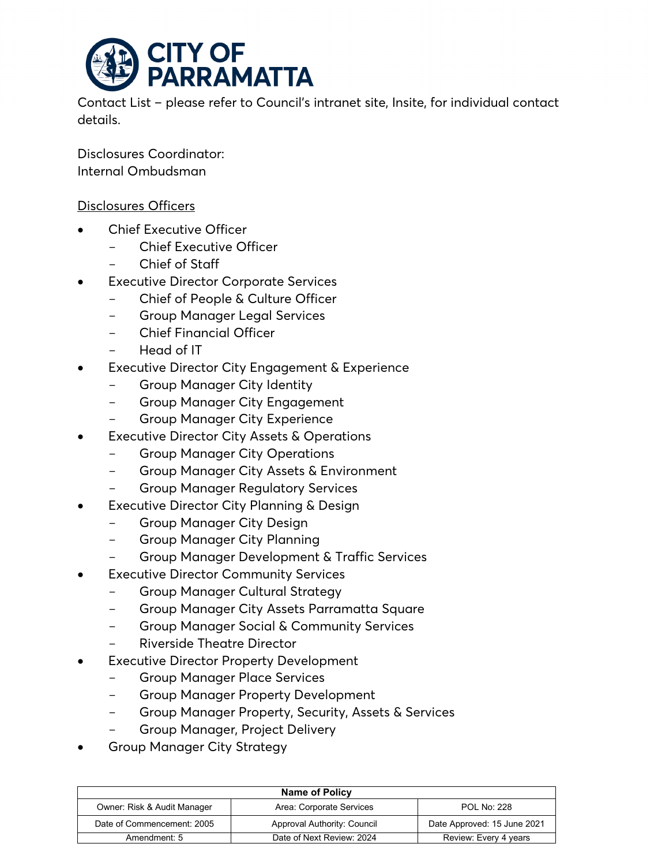

Contact List – please refer to Council's intranet site, Insite, for individual contact details.

Disclosures Coordinator: Internal Ombudsman

#### Disclosures Officers

- **Chief Executive Officer** 
	- Chief Executive Officer
	- Chief of Staff
- **Executive Director Corporate Services** 
	- Chief of People & Culture Officer
	- Group Manager Legal Services
	- Chief Financial Officer
	- Head of IT
- **Executive Director City Engagement & Experience** 
	- Group Manager City Identity
	- Group Manager City Engagement
	- Group Manager City Experience
- **Executive Director City Assets & Operations** 
	- Group Manager City Operations
	- Group Manager City Assets & Environment
	- **Group Manager Regulatory Services**
- **Executive Director City Planning & Design** 
	- Group Manager City Design
	- Group Manager City Planning
	- Group Manager Development & Traffic Services
	- **Executive Director Community Services** 
		- Group Manager Cultural Strategy
		- Group Manager City Assets Parramatta Square
		- Group Manager Social & Community Services
		- Riverside Theatre Director
- **Executive Director Property Development** 
	- Group Manager Place Services
	- Group Manager Property Development
	- Group Manager Property, Security, Assets & Services
	- Group Manager, Project Delivery
- Group Manager City Strategy

**Name of Policy** Owner: Risk & Audit Manager Area: Corporate Services POL No: 228 Date of Commencement: 2005 Approval Authority: Council Date Approved: 15 June 2021 Amendment: 5 Date of Next Review: 2024 Review: Every 4 years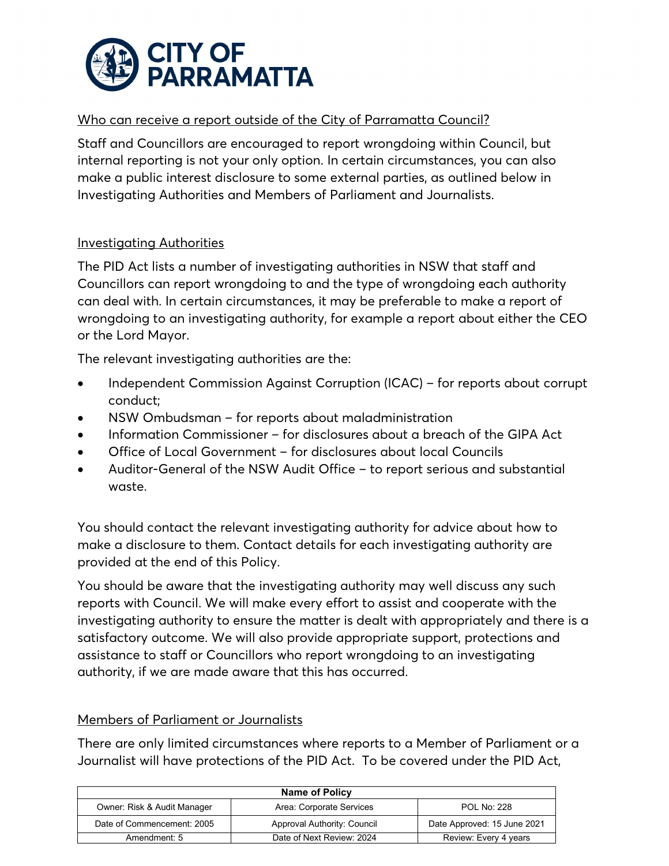

# Who can receive a report outside of the City of Parramatta Council?

Staff and Councillors are encouraged to report wrongdoing within Council, but internal reporting is not your only option. In certain circumstances, you can also make a public interest disclosure to some external parties, as outlined below in Investigating Authorities and Members of Parliament and Journalists.

## Investigating Authorities

The PID Act lists a number of investigating authorities in NSW that staff and Councillors can report wrongdoing to and the type of wrongdoing each authority can deal with. In certain circumstances, it may be preferable to make a report of wrongdoing to an investigating authority, for example a report about either the CEO or the Lord Mayor.

The relevant investigating authorities are the:

- Independent Commission Against Corruption (ICAC) for reports about corrupt conduct;
- NSW Ombudsman for reports about maladministration
- Information Commissioner for disclosures about a breach of the GIPA Act
- Office of Local Government for disclosures about local Councils
- Auditor-General of the NSW Audit Office to report serious and substantial waste.

You should contact the relevant investigating authority for advice about how to make a disclosure to them. Contact details for each investigating authority are provided at the end of this Policy.

You should be aware that the investigating authority may well discuss any such reports with Council. We will make every effort to assist and cooperate with the investigating authority to ensure the matter is dealt with appropriately and there is a satisfactory outcome. We will also provide appropriate support, protections and assistance to staff or Councillors who report wrongdoing to an investigating authority, if we are made aware that this has occurred.

# Members of Parliament or Journalists

There are only limited circumstances where reports to a Member of Parliament or a Journalist will have protections of the PID Act. To be covered under the PID Act,

| <b>Name of Policy</b>       |                             |                             |
|-----------------------------|-----------------------------|-----------------------------|
| Owner: Risk & Audit Manager | Area: Corporate Services    | <b>POL No: 228</b>          |
| Date of Commencement: 2005  | Approval Authority: Council | Date Approved: 15 June 2021 |
| Amendment: 5                | Date of Next Review: 2024   | Review: Every 4 years       |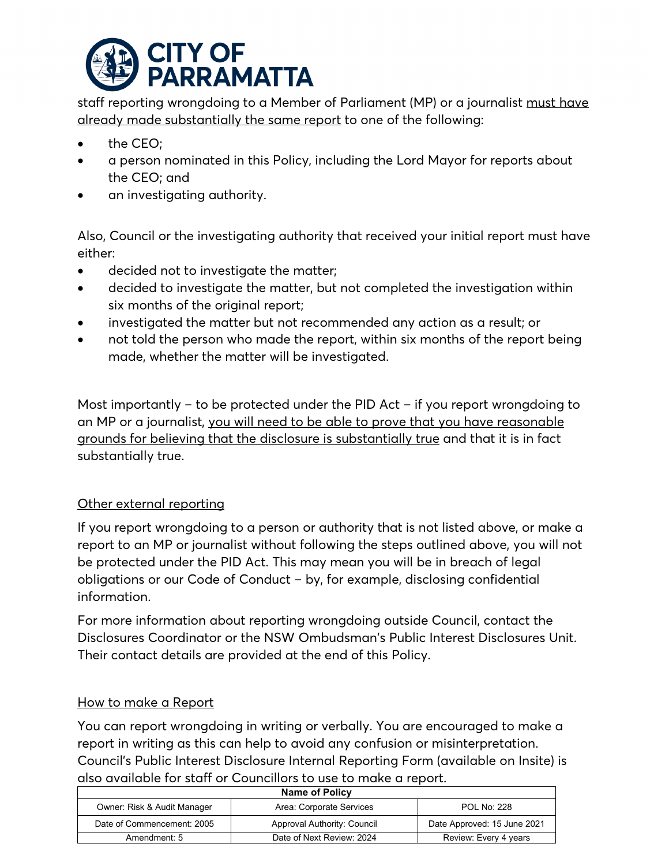

staff reporting wrongdoing to a Member of Parliament (MP) or a journalist must have already made substantially the same report to one of the following:

- the CEO;
- a person nominated in this Policy, including the Lord Mayor for reports about the CEO; and
- an investigating authority.

Also, Council or the investigating authority that received your initial report must have either:

- decided not to investigate the matter;
- decided to investigate the matter, but not completed the investigation within six months of the original report;
- investigated the matter but not recommended any action as a result; or
- not told the person who made the report, within six months of the report being made, whether the matter will be investigated.

Most importantly – to be protected under the PID Act – if you report wrongdoing to an MP or a journalist, you will need to be able to prove that you have reasonable grounds for believing that the disclosure is substantially true and that it is in fact substantially true.

# Other external reporting

If you report wrongdoing to a person or authority that is not listed above, or make a report to an MP or journalist without following the steps outlined above, you will not be protected under the PID Act. This may mean you will be in breach of legal obligations or our Code of Conduct – by, for example, disclosing confidential information.

For more information about reporting wrongdoing outside Council, contact the Disclosures Coordinator or the NSW Ombudsman's Public Interest Disclosures Unit. Their contact details are provided at the end of this Policy.

# How to make a Report

You can report wrongdoing in writing or verbally. You are encouraged to make a report in writing as this can help to avoid any confusion or misinterpretation. Council's Public Interest Disclosure Internal Reporting Form (available on Insite) is also available for staff or Councillors to use to make a report.

| <b>Name of Policy</b>       |                             |                             |
|-----------------------------|-----------------------------|-----------------------------|
| Owner: Risk & Audit Manager | Area: Corporate Services    | <b>POL No: 228</b>          |
| Date of Commencement: 2005  | Approval Authority: Council | Date Approved: 15 June 2021 |
| Amendment: 5                | Date of Next Review: 2024   | Review: Every 4 years       |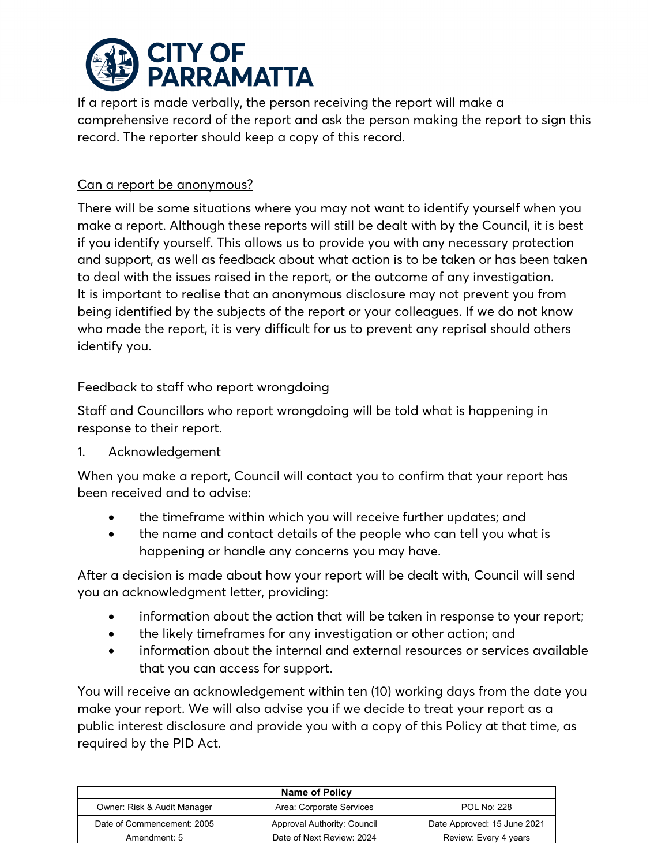

If a report is made verbally, the person receiving the report will make a comprehensive record of the report and ask the person making the report to sign this record. The reporter should keep a copy of this record.

## Can a report be anonymous?

There will be some situations where you may not want to identify yourself when you make a report. Although these reports will still be dealt with by the Council, it is best if you identify yourself. This allows us to provide you with any necessary protection and support, as well as feedback about what action is to be taken or has been taken to deal with the issues raised in the report, or the outcome of any investigation. It is important to realise that an anonymous disclosure may not prevent you from being identified by the subjects of the report or your colleagues. If we do not know who made the report, it is very difficult for us to prevent any reprisal should others identify you.

# Feedback to staff who report wrongdoing

Staff and Councillors who report wrongdoing will be told what is happening in response to their report.

1. Acknowledgement

When you make a report, Council will contact you to confirm that your report has been received and to advise:

- the timeframe within which you will receive further updates; and
- the name and contact details of the people who can tell you what is happening or handle any concerns you may have.

After a decision is made about how your report will be dealt with, Council will send you an acknowledgment letter, providing:

- information about the action that will be taken in response to your report;
- the likely timeframes for any investigation or other action; and
- information about the internal and external resources or services available that you can access for support.

You will receive an acknowledgement within ten (10) working days from the date you make your report. We will also advise you if we decide to treat your report as a public interest disclosure and provide you with a copy of this Policy at that time, as required by the PID Act.

| <b>Name of Policy</b>                                                         |                           |                             |  |
|-------------------------------------------------------------------------------|---------------------------|-----------------------------|--|
| Owner: Risk & Audit Manager<br>Area: Corporate Services<br><b>POL No: 228</b> |                           |                             |  |
| Date of Commencement: 2005<br>Approval Authority: Council                     |                           | Date Approved: 15 June 2021 |  |
| Amendment: 5                                                                  | Date of Next Review: 2024 | Review: Every 4 years       |  |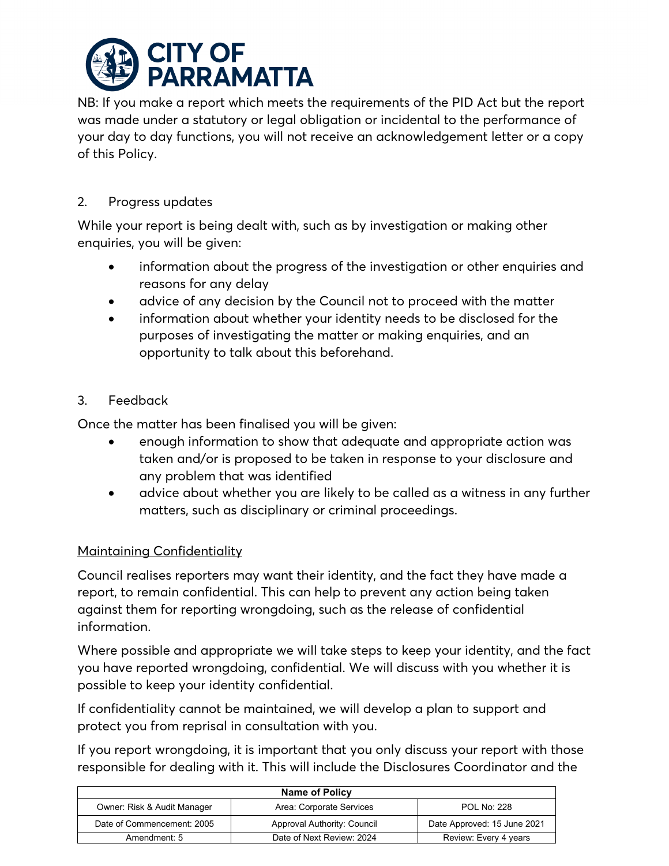

NB: If you make a report which meets the requirements of the PID Act but the report was made under a statutory or legal obligation or incidental to the performance of your day to day functions, you will not receive an acknowledgement letter or a copy of this Policy.

# 2. Progress updates

While your report is being dealt with, such as by investigation or making other enquiries, you will be given:

- information about the progress of the investigation or other enquiries and reasons for any delay
- advice of any decision by the Council not to proceed with the matter
- information about whether your identity needs to be disclosed for the purposes of investigating the matter or making enquiries, and an opportunity to talk about this beforehand.

# 3. Feedback

Once the matter has been finalised you will be given:

- enough information to show that adequate and appropriate action was taken and/or is proposed to be taken in response to your disclosure and any problem that was identified
- advice about whether you are likely to be called as a witness in any further matters, such as disciplinary or criminal proceedings.

# Maintaining Confidentiality

Council realises reporters may want their identity, and the fact they have made a report, to remain confidential. This can help to prevent any action being taken against them for reporting wrongdoing, such as the release of confidential information.

Where possible and appropriate we will take steps to keep your identity, and the fact you have reported wrongdoing, confidential. We will discuss with you whether it is possible to keep your identity confidential.

If confidentiality cannot be maintained, we will develop a plan to support and protect you from reprisal in consultation with you.

If you report wrongdoing, it is important that you only discuss your report with those responsible for dealing with it. This will include the Disclosures Coordinator and the

| <b>Name of Policy</b>                                                         |                             |                             |  |
|-------------------------------------------------------------------------------|-----------------------------|-----------------------------|--|
| Owner: Risk & Audit Manager<br>Area: Corporate Services<br><b>POL No: 228</b> |                             |                             |  |
| Date of Commencement: 2005                                                    | Approval Authority: Council | Date Approved: 15 June 2021 |  |
| Amendment: 5                                                                  | Date of Next Review: 2024   | Review: Every 4 years       |  |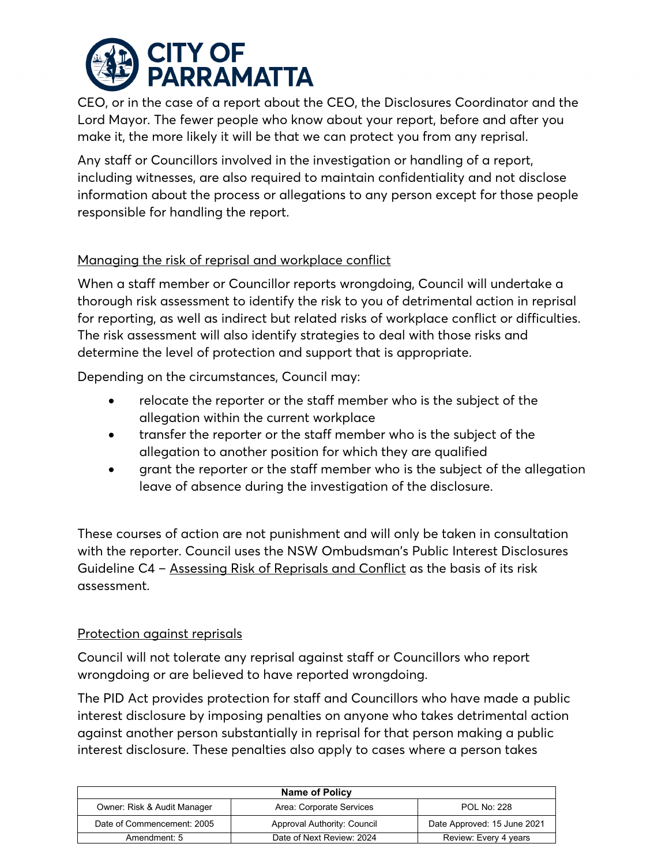

CEO, or in the case of a report about the CEO, the Disclosures Coordinator and the Lord Mayor. The fewer people who know about your report, before and after you make it, the more likely it will be that we can protect you from any reprisal.

Any staff or Councillors involved in the investigation or handling of a report, including witnesses, are also required to maintain confidentiality and not disclose information about the process or allegations to any person except for those people responsible for handling the report.

# Managing the risk of reprisal and workplace conflict

When a staff member or Councillor reports wrongdoing, Council will undertake a thorough risk assessment to identify the risk to you of detrimental action in reprisal for reporting, as well as indirect but related risks of workplace conflict or difficulties. The risk assessment will also identify strategies to deal with those risks and determine the level of protection and support that is appropriate.

Depending on the circumstances, Council may:

- relocate the reporter or the staff member who is the subject of the allegation within the current workplace
- transfer the reporter or the staff member who is the subject of the allegation to another position for which they are qualified
- grant the reporter or the staff member who is the subject of the allegation leave of absence during the investigation of the disclosure.

These courses of action are not punishment and will only be taken in consultation with the reporter. Council uses the NSW Ombudsman's Public Interest Disclosures Guideline C4 – [Assessing Risk of Reprisals and Conflict](https://www.ombo.nsw.gov.au/__data/assets/pdf_file/0004/3577/Guideline-C4-Assessing-risk-of-reprisals-and-conflict.pdf) as the basis of its risk assessment.

# Protection against reprisals

Council will not tolerate any reprisal against staff or Councillors who report wrongdoing or are believed to have reported wrongdoing.

The PID Act provides protection for staff and Councillors who have made a public interest disclosure by imposing penalties on anyone who takes detrimental action against another person substantially in reprisal for that person making a public interest disclosure. These penalties also apply to cases where a person takes

| <b>Name of Policy</b>                                                         |                             |                             |  |
|-------------------------------------------------------------------------------|-----------------------------|-----------------------------|--|
| Owner: Risk & Audit Manager<br>Area: Corporate Services<br><b>POL No: 228</b> |                             |                             |  |
| Date of Commencement: 2005                                                    | Approval Authority: Council | Date Approved: 15 June 2021 |  |
| Amendment: 5                                                                  | Date of Next Review: 2024   | Review: Every 4 years       |  |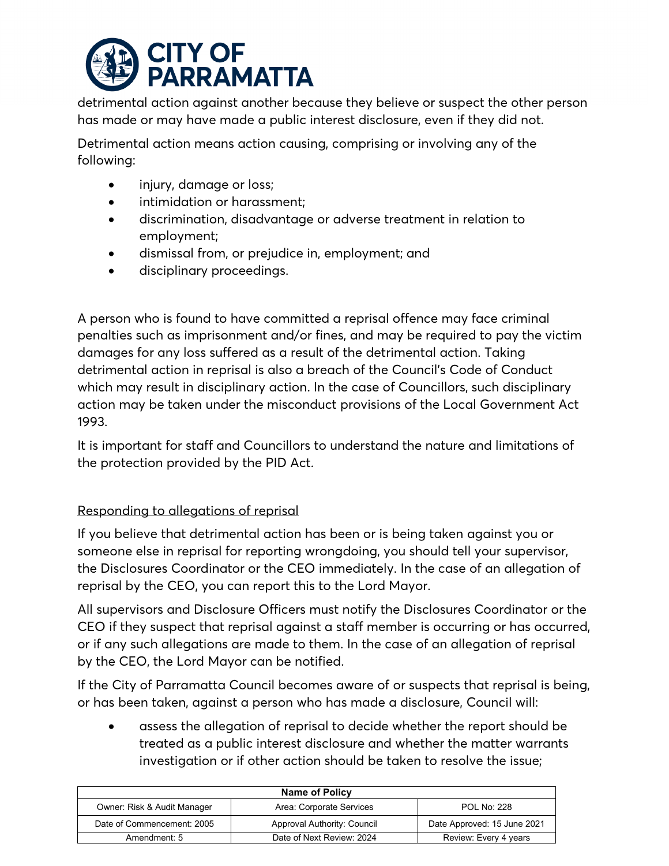

detrimental action against another because they believe or suspect the other person has made or may have made a public interest disclosure, even if they did not.

Detrimental action means action causing, comprising or involving any of the following:

- injury, damage or loss;
- intimidation or harassment;
- discrimination, disadvantage or adverse treatment in relation to employment;
- dismissal from, or prejudice in, employment; and
- disciplinary proceedings.

A person who is found to have committed a reprisal offence may face criminal penalties such as imprisonment and/or fines, and may be required to pay the victim damages for any loss suffered as a result of the detrimental action. Taking detrimental action in reprisal is also a breach of the Council's Code of Conduct which may result in disciplinary action. In the case of Councillors, such disciplinary action may be taken under the misconduct provisions of the Local Government Act 1993.

It is important for staff and Councillors to understand the nature and limitations of the protection provided by the PID Act.

# Responding to allegations of reprisal

If you believe that detrimental action has been or is being taken against you or someone else in reprisal for reporting wrongdoing, you should tell your supervisor, the Disclosures Coordinator or the CEO immediately. In the case of an allegation of reprisal by the CEO, you can report this to the Lord Mayor.

All supervisors and Disclosure Officers must notify the Disclosures Coordinator or the CEO if they suspect that reprisal against a staff member is occurring or has occurred, or if any such allegations are made to them. In the case of an allegation of reprisal by the CEO, the Lord Mayor can be notified.

If the City of Parramatta Council becomes aware of or suspects that reprisal is being, or has been taken, against a person who has made a disclosure, Council will:

• assess the allegation of reprisal to decide whether the report should be treated as a public interest disclosure and whether the matter warrants investigation or if other action should be taken to resolve the issue;

| <b>Name of Policy</b>                                                         |                           |                             |  |
|-------------------------------------------------------------------------------|---------------------------|-----------------------------|--|
| Owner: Risk & Audit Manager<br>Area: Corporate Services<br><b>POL No: 228</b> |                           |                             |  |
| Date of Commencement: 2005<br>Approval Authority: Council                     |                           | Date Approved: 15 June 2021 |  |
| Amendment: 5                                                                  | Date of Next Review: 2024 | Review: Every 4 years       |  |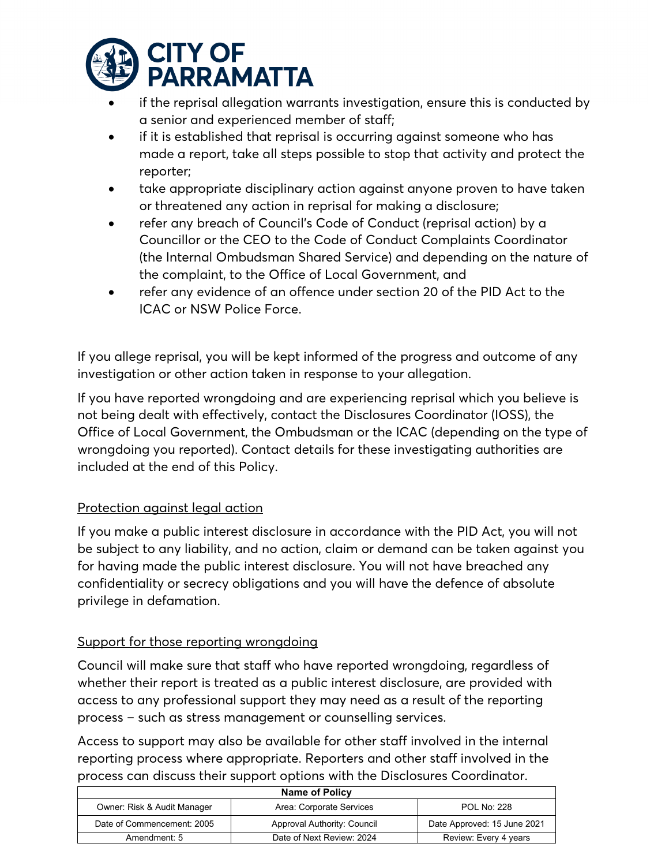

- if the reprisal allegation warrants investigation, ensure this is conducted by a senior and experienced member of staff;
- if it is established that reprisal is occurring against someone who has made a report, take all steps possible to stop that activity and protect the reporter;
- take appropriate disciplinary action against anyone proven to have taken or threatened any action in reprisal for making a disclosure;
- refer any breach of Council's Code of Conduct (reprisal action) by a Councillor or the CEO to the Code of Conduct Complaints Coordinator (the Internal Ombudsman Shared Service) and depending on the nature of the complaint, to the Office of Local Government, and
- refer any evidence of an offence under section 20 of the PID Act to the ICAC or NSW Police Force.

If you allege reprisal, you will be kept informed of the progress and outcome of any investigation or other action taken in response to your allegation.

If you have reported wrongdoing and are experiencing reprisal which you believe is not being dealt with effectively, contact the Disclosures Coordinator (IOSS), the Office of Local Government, the Ombudsman or the ICAC (depending on the type of wrongdoing you reported). Contact details for these investigating authorities are included at the end of this Policy.

# Protection against legal action

If you make a public interest disclosure in accordance with the PID Act, you will not be subject to any liability, and no action, claim or demand can be taken against you for having made the public interest disclosure. You will not have breached any confidentiality or secrecy obligations and you will have the defence of absolute privilege in defamation.

# Support for those reporting wrongdoing

Council will make sure that staff who have reported wrongdoing, regardless of whether their report is treated as a public interest disclosure, are provided with access to any professional support they may need as a result of the reporting process – such as stress management or counselling services.

Access to support may also be available for other staff involved in the internal reporting process where appropriate. Reporters and other staff involved in the process can discuss their support options with the Disclosures Coordinator.

| <b>Name of Policy</b>                                                         |                           |                             |
|-------------------------------------------------------------------------------|---------------------------|-----------------------------|
| Owner: Risk & Audit Manager<br>Area: Corporate Services<br><b>POL No: 228</b> |                           |                             |
| Date of Commencement: 2005<br>Approval Authority: Council                     |                           | Date Approved: 15 June 2021 |
| Amendment: 5                                                                  | Date of Next Review: 2024 | Review: Every 4 years       |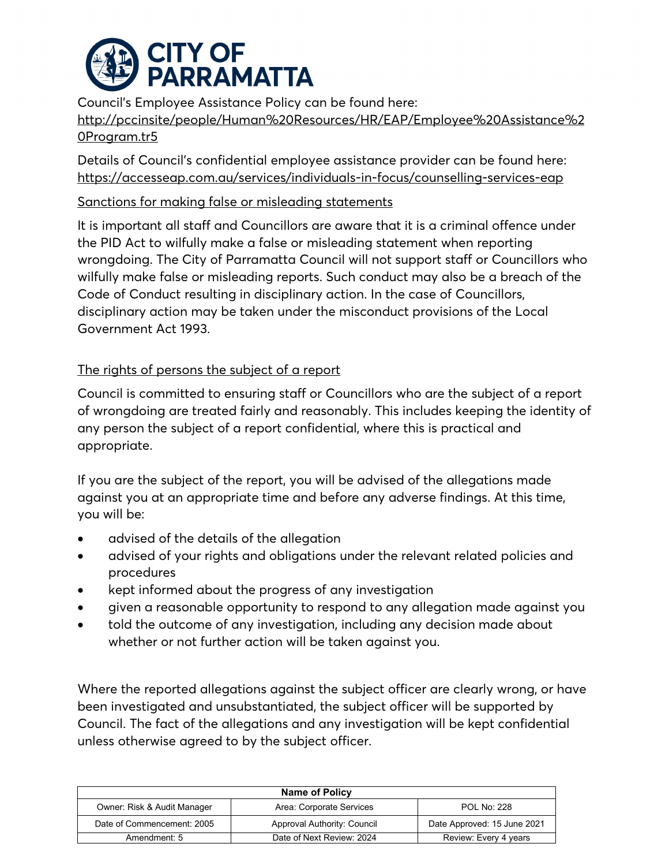

Council's Employee Assistance Policy can be found here: [http://pccinsite/people/Human%20Resources/HR/EAP/Employee%20Assistance%2](http://pccinsite/people/Human%20Resources/HR/EAP/Employee%20Assistance%20Program.tr5) [0Program.tr5](http://pccinsite/people/Human%20Resources/HR/EAP/Employee%20Assistance%20Program.tr5)

Details of Council's confidential employee assistance provider can be found here: <https://accesseap.com.au/services/individuals-in-focus/counselling-services-eap>

# Sanctions for making false or misleading statements

It is important all staff and Councillors are aware that it is a criminal offence under the PID Act to wilfully make a false or misleading statement when reporting wrongdoing. The City of Parramatta Council will not support staff or Councillors who wilfully make false or misleading reports. Such conduct may also be a breach of the Code of Conduct resulting in disciplinary action. In the case of Councillors, disciplinary action may be taken under the misconduct provisions of the Local Government Act 1993.

# The rights of persons the subject of a report

Council is committed to ensuring staff or Councillors who are the subject of a report of wrongdoing are treated fairly and reasonably. This includes keeping the identity of any person the subject of a report confidential, where this is practical and appropriate.

If you are the subject of the report, you will be advised of the allegations made against you at an appropriate time and before any adverse findings. At this time, you will be:

- advised of the details of the allegation
- advised of your rights and obligations under the relevant related policies and procedures
- kept informed about the progress of any investigation
- given a reasonable opportunity to respond to any allegation made against you
- told the outcome of any investigation, including any decision made about whether or not further action will be taken against you.

Where the reported allegations against the subject officer are clearly wrong, or have been investigated and unsubstantiated, the subject officer will be supported by Council. The fact of the allegations and any investigation will be kept confidential unless otherwise agreed to by the subject officer.

| Name of Policy                                                                |                             |                             |  |
|-------------------------------------------------------------------------------|-----------------------------|-----------------------------|--|
| Area: Corporate Services<br>Owner: Risk & Audit Manager<br><b>POL No: 228</b> |                             |                             |  |
| Date of Commencement: 2005                                                    | Approval Authority: Council | Date Approved: 15 June 2021 |  |
| Amendment: 5                                                                  | Date of Next Review: 2024   | Review: Every 4 years       |  |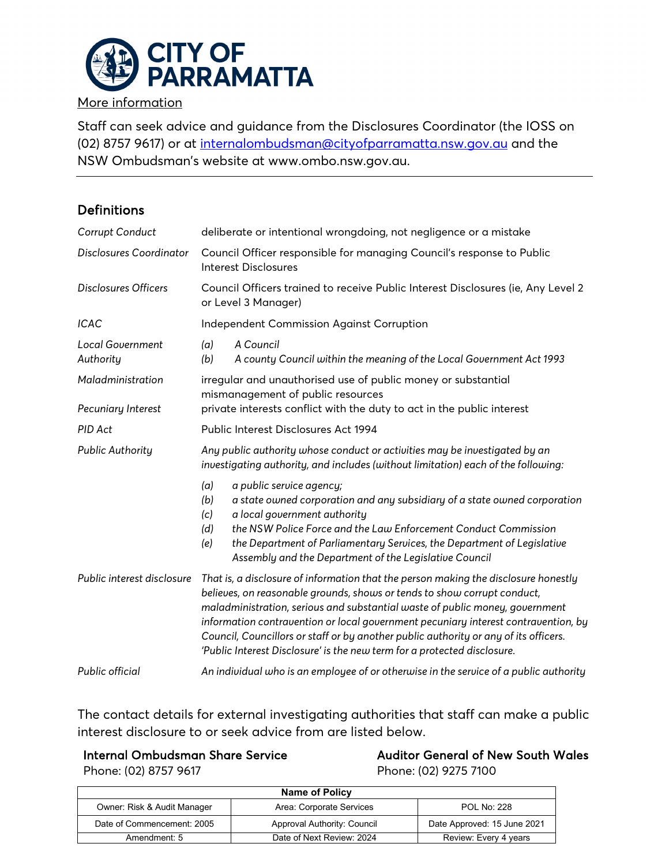

More information

Staff can seek advice and guidance from the Disclosures Coordinator (the IOSS on (02) 8757 9617) or at [internalombudsman@cityofparramatta.nsw.gov.au](mailto:internalombudsman@cityofparramatta.nsw.gov.au) and the NSW Ombudsman's website at www.ombo.nsw.gov.au.

# Definitions

| Corrupt Conduct                         | deliberate or intentional wrongdoing, not negligence or a mistake                                                                                                                                                                                                                                                                                                                                                                                                                                         |  |  |
|-----------------------------------------|-----------------------------------------------------------------------------------------------------------------------------------------------------------------------------------------------------------------------------------------------------------------------------------------------------------------------------------------------------------------------------------------------------------------------------------------------------------------------------------------------------------|--|--|
| Disclosures Coordinator                 | Council Officer responsible for managing Council's response to Public<br><b>Interest Disclosures</b>                                                                                                                                                                                                                                                                                                                                                                                                      |  |  |
| <b>Disclosures Officers</b>             | Council Officers trained to receive Public Interest Disclosures (ie, Any Level 2<br>or Level 3 Manager)                                                                                                                                                                                                                                                                                                                                                                                                   |  |  |
| <b>ICAC</b>                             | <b>Independent Commission Against Corruption</b>                                                                                                                                                                                                                                                                                                                                                                                                                                                          |  |  |
| <b>Local Government</b><br>Authority    | A Council<br>(a)<br>(b)<br>A county Council within the meaning of the Local Government Act 1993                                                                                                                                                                                                                                                                                                                                                                                                           |  |  |
| Maladministration<br>Pecuniary Interest | irregular and unauthorised use of public money or substantial<br>mismanagement of public resources<br>private interests conflict with the duty to act in the public interest                                                                                                                                                                                                                                                                                                                              |  |  |
| PID Act                                 | Public Interest Disclosures Act 1994                                                                                                                                                                                                                                                                                                                                                                                                                                                                      |  |  |
| <b>Public Authority</b>                 | Any public authority whose conduct or activities may be investigated by an<br>investigating authority, and includes (without limitation) each of the following:                                                                                                                                                                                                                                                                                                                                           |  |  |
|                                         | (a)<br>a public service agency;<br>(b)<br>a state owned corporation and any subsidiary of a state owned corporation<br>a local government authority<br>(c)<br>the NSW Police Force and the Law Enforcement Conduct Commission<br>(d)<br>the Department of Parliamentary Services, the Department of Legislative<br>(e)<br>Assembly and the Department of the Legislative Council                                                                                                                          |  |  |
| Public interest disclosure              | That is, a disclosure of information that the person making the disclosure honestly<br>believes, on reasonable grounds, shows or tends to show corrupt conduct,<br>maladministration, serious and substantial waste of public money, government<br>information contravention or local government pecuniary interest contravention, by<br>Council, Councillors or staff or by another public authority or any of its officers.<br>'Public Interest Disclosure' is the new term for a protected disclosure. |  |  |
| Public official                         | An individual who is an employee of or otherwise in the service of a public authority                                                                                                                                                                                                                                                                                                                                                                                                                     |  |  |

The contact details for external investigating authorities that staff can make a public interest disclosure to or seek advice from are listed below.

Auditor General of New South Wales Phone: (02) 9275 7100

| Phone: (02) 8757 9617 |  |
|-----------------------|--|
|-----------------------|--|

| <b>Name of Policy</b>                                                         |                             |                             |  |
|-------------------------------------------------------------------------------|-----------------------------|-----------------------------|--|
| Owner: Risk & Audit Manager<br><b>POL No: 228</b><br>Area: Corporate Services |                             |                             |  |
| Date of Commencement: 2005                                                    | Approval Authority: Council | Date Approved: 15 June 2021 |  |
| Amendment: 5                                                                  | Date of Next Review: 2024   | Review: Every 4 years       |  |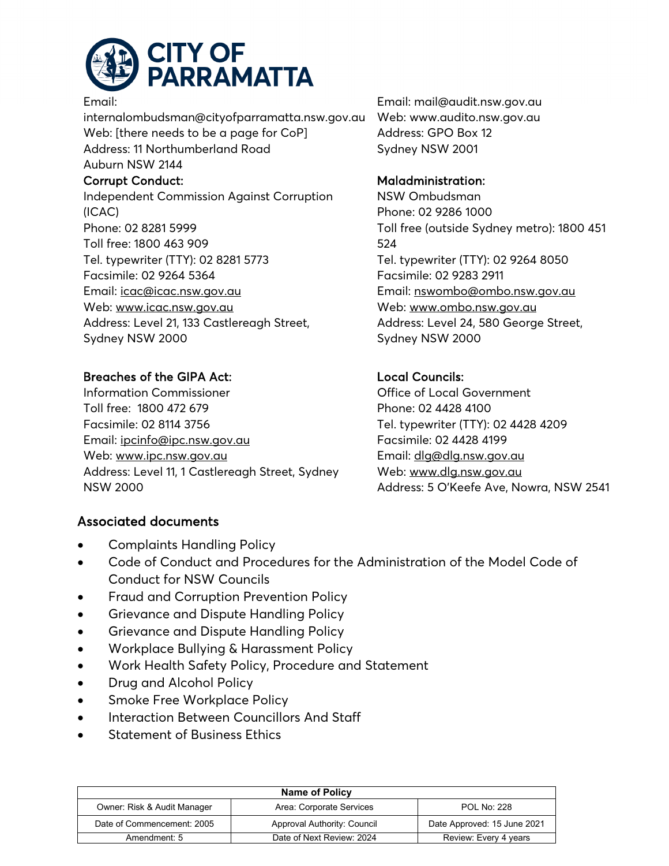

#### Email:

internalombudsman@cityofparramatta.nsw.gov.au Web: [there needs to be a page for CoP] Address: 11 Northumberland Road Auburn NSW 2144 Corrupt Conduct: Independent Commission Against Corruption (ICAC) Phone: 02 8281 5999 Toll free: 1800 463 909

Tel. typewriter (TTY): 02 8281 5773 Facsimile: 02 9264 5364 Email: [icac@icac.nsw.gov.au](mailto:icac@icac.nsw.gov.au?subject=Website%20enquiry%20or%20feedback) Web: [www.icac.nsw.gov.au](http://www.icac.nsw.gov.au/) Address: Level 21, 133 Castlereagh Street, Sydney NSW 2000

# Breaches of the GIPA Act:

Information Commissioner Toll free: 1800 472 679 Facsimile: 02 8114 3756 Email: [ipcinfo@ipc.nsw.gov.au](mailto:ipcinfo@ipc.nsw.gov.au) Web: [www.ipc.nsw.gov.au](http://www.ipc.nsw.gov.au/) Address: Level 11, 1 Castlereagh Street, Sydney NSW 2000

# Associated documents

- [Complaints Handling Policy](http://pcc-adm-icon01/eplanning/Common/Output/Document.aspx?id=lv1vxjNE7zk%253d)
- [Code of Conduct](http://pcc-adm-icon01/eplanning/Common/Output/Document.aspx?id=7GGfUQFZw1I%253d) and Procedures for the Administration of the Model Code of Conduct for NSW Councils
- [Fraud and Corruption Prevention Policy](http://pcc-adm-icon01/eplanning/Common/Output/Document.aspx?id=0n96OOg62YU%253d)
- [Grievance and Dispute Handling Policy](http://pcc-adm-icon01/ePlanning/Temp/001_005X_0I0N0OQBV3P.PDF)
- [Grievance and Dispute Handling Policy](http://pcc-adm-icon01/eplanning/Common/Output/Document.aspx?id=6szxYUouAqU%253d)
- [Workplace Bullying & Harassment Policy](http://pcc-adm-icon01/eplanning/Common/Output/Document.aspx?id=OYDk%252f0Tlf0g%253d)
- [Work Health Safety Policy, Procedure and Statement](http://pcc-adm-icon01/eplanning/Common/Output/Document.aspx?id=f7dZGPvmmx0%253d)
- [Drug and Alcohol Policy](http://pcc-adm-icon01/eplanning/Common/Output/Document.aspx?id=GJin9Bq6%252bmw%253d)
- [Smoke Free Workplace Policy](http://pcc-adm-icon01/eplanning/Common/Output/Document.aspx?id=qT7PiCsDOUA%253d)
- [Interaction Between Councillors And Staff](http://pcc-adm-icon01/eplanning/Common/Output/Document.aspx?id=KQYpPhVah%252fo%253d)
- [Statement of Business Ethics](http://pcc-adm-icon01/eplanning/Common/Output/Document.aspx?id=waMlManwHoE%253d)

**Name of Policy** Owner: Risk & Audit Manager Area: Corporate Services POL No: 228 Date of Commencement: 2005 Approval Authority: Council Date Approved: 15 June 2021 Amendment: 5 Date of Next Review: 2024 Review: Every 4 years

Email: mail@audit.nsw.gov.au Web: www.audito.nsw.gov.au Address: GPO Box 12 Sydney NSW 2001

## Maladministration:

NSW Ombudsman Phone: 02 9286 1000 Toll free (outside Sydney metro): 1800 451 524 Tel. typewriter (TTY): 02 9264 8050 Facsimile: 02 9283 2911 Email: [nswombo@ombo.nsw.gov.au](mailto:nswombo@ombo.nsw.gov.au) Web: [www.ombo.nsw.gov.au](http://www.ombo.nsw.gov.au/) Address: Level 24, 580 George Street, Sydney NSW 2000

# Local Councils:

Office of Local Government Phone: 02 4428 4100 Tel. typewriter (TTY): 02 4428 4209 Facsimile: 02 4428 4199 Email: [dlg@dlg.nsw.gov.au](mailto:dlg@dlg.nsw.gov.au) Web: [www.dlg.nsw.gov.au](http://www.dlg.nsw.gov.au/) Address: 5 O'Keefe Ave, Nowra, NSW 2541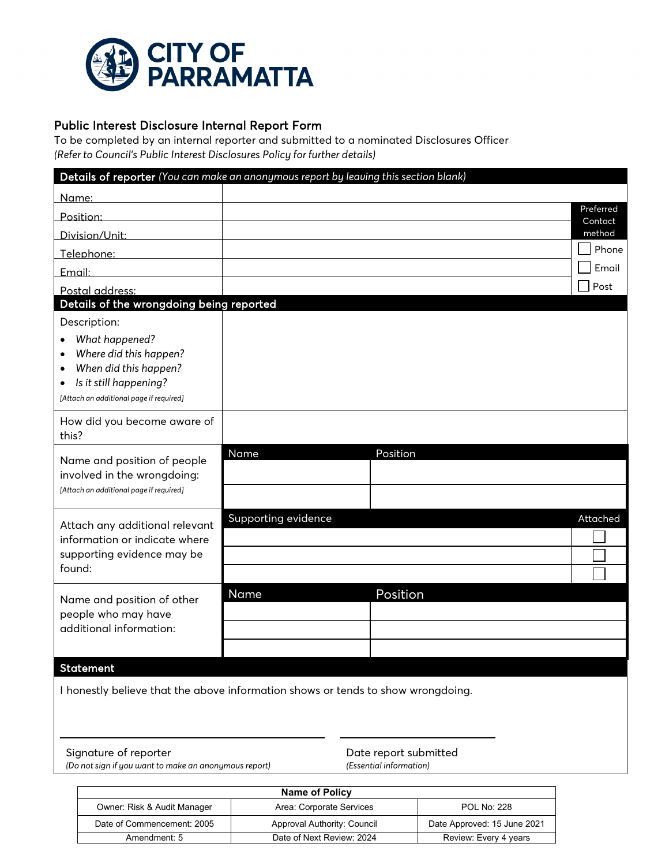

Public Interest Disclosure Internal Report Form<br>To be completed by an internal reporter and submitted to a nominated Disclosures Officer *(Refer to Council's Public Interest Disclosures Policy for further details)*

|                                                                                                                                                                                               | Details of reporter (You can make an anonymous report by leaving this section blank) |                      |
|-----------------------------------------------------------------------------------------------------------------------------------------------------------------------------------------------|--------------------------------------------------------------------------------------|----------------------|
| Name:                                                                                                                                                                                         |                                                                                      |                      |
| Position:                                                                                                                                                                                     |                                                                                      | Preferred<br>Contact |
| Division/Unit:                                                                                                                                                                                |                                                                                      | method               |
| Telephone:                                                                                                                                                                                    |                                                                                      | Phone                |
| Email:                                                                                                                                                                                        |                                                                                      | Email                |
| Postal address:                                                                                                                                                                               |                                                                                      | Post                 |
| Details of the wrongdoing being reported                                                                                                                                                      |                                                                                      |                      |
| Description:<br>What happened?<br>Where did this happen?<br>$\bullet$<br>When did this happen?<br>$\bullet$<br>Is it still happening?<br>$\bullet$<br>[Attach an additional page if required] |                                                                                      |                      |
| How did you become aware of<br>this?                                                                                                                                                          |                                                                                      |                      |
| Name and position of people<br>involved in the wrongdoing:<br>[Attach an additional page if required]                                                                                         | Position<br>Name                                                                     |                      |
| Attach any additional relevant<br>information or indicate where<br>supporting evidence may be<br>found:                                                                                       | Supporting evidence                                                                  | Attached             |
| Name and position of other<br>people who may have<br>additional information:                                                                                                                  | Name<br>Position                                                                     |                      |
| <b>Statement</b>                                                                                                                                                                              |                                                                                      |                      |
|                                                                                                                                                                                               | I honestly believe that the above information shows or tends to show wrongdoing.     |                      |

Signature of reporter *(Do not sign if you want to make an anonymous report)*

Date report submitted *(Essential information)*

| <b>Name of Policy</b>       |                             |                             |
|-----------------------------|-----------------------------|-----------------------------|
| Owner: Risk & Audit Manager | Area: Corporate Services    | <b>POL No: 228</b>          |
| Date of Commencement: 2005  | Approval Authority: Council | Date Approved: 15 June 2021 |
| Amendment: 5                | Date of Next Review: 2024   | Review: Every 4 years       |